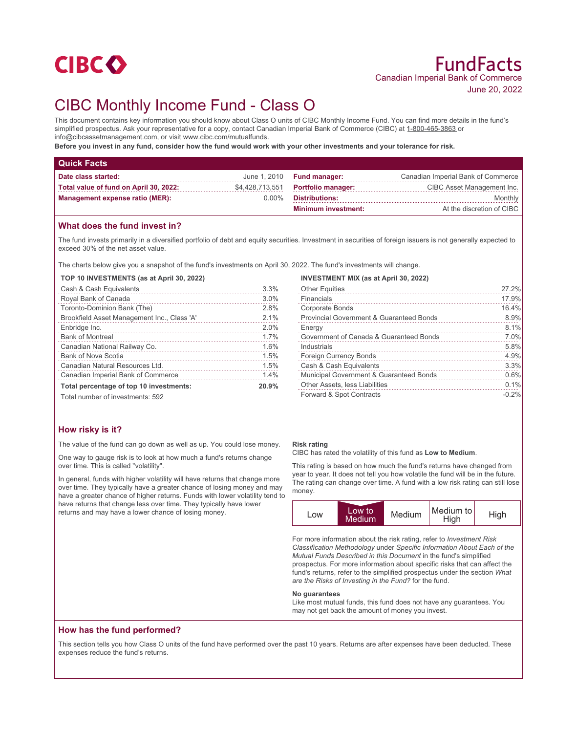

# CIBC Monthly Income Fund - Class O

This document contains key information you should know about Class O units of CIBC Monthly Income Fund. You can find more details in the fund's simplified prospectus. Ask your representative for a copy, contact Canadian Imperial Bank of Commerce (CIBC) at 1-800-465-3863 or info@cibcassetmanagement.com, or visit www.cibc.com/mutualfunds.

**Before you invest in any fund, consider how the fund would work with your other investments and your tolerance for risk.**

| <b>Quick Facts</b>                     |          |                                    |                                    |
|----------------------------------------|----------|------------------------------------|------------------------------------|
| Date class started:                    |          | June $1,2010$ Fund manager:        | Canadian Imperial Bank of Commerce |
| Total value of fund on April 30, 2022: |          | \$4,428,713,551 Portfolio manager: | CIBC Asset Management Inc.         |
| <b>Management expense ratio (MER):</b> | $0.00\%$ | <b>Distributions:</b>              | Monthly                            |
|                                        |          | <b>Minimum investment:</b>         | At the discretion of CIBC          |

## **What does the fund invest in?**

The fund invests primarily in a diversified portfolio of debt and equity securities. Investment in securities of foreign issuers is not generally expected to exceed 30% of the net asset value.

The charts below give you a snapshot of the fund's investments on April 30, 2022. The fund's investments will change.

#### **TOP 10 INVESTMENTS (as at April 30, 2022)**

| Cash & Cash Equivalents                     | 3.3%  |
|---------------------------------------------|-------|
| Royal Bank of Canada                        | 3.0%  |
| Toronto-Dominion Bank (The)                 | 2.8%  |
| Brookfield Asset Management Inc., Class 'A' | 2.1%  |
| Enbridge Inc.                               | 2.0%  |
| <b>Bank of Montreal</b>                     | 1.7%  |
| Canadian National Railway Co.               | 1.6%  |
| Bank of Nova Scotia                         | 1.5%  |
| Canadian Natural Resources Ltd.             | 1.5%  |
| Canadian Imperial Bank of Commerce          | 1.4%  |
| Total percentage of top 10 investments:     | 20.9% |
| Total number of investments: 592            |       |

| <b>INVESTMENT MIX (as at April 30, 2022)</b> |         |
|----------------------------------------------|---------|
| <b>Other Equities</b>                        | 27.2%   |
| Financials                                   | 17.9%   |
| <b>Corporate Bonds</b>                       | 16.4%   |
| Provincial Government & Guaranteed Bonds     | 8.9%    |
| Energy                                       | 8.1%    |
| Government of Canada & Guaranteed Bonds      | 7.0%    |
| Industrials                                  | 5.8%    |
| <b>Foreign Currency Bonds</b>                | 4.9%    |
| Cash & Cash Equivalents                      | 3.3%    |
| Municipal Government & Guaranteed Bonds      | 0.6%    |
| Other Assets, less Liabilities               | 0.1%    |
| Forward & Spot Contracts                     | $-0.2%$ |

## **How risky is it?**

The value of the fund can go down as well as up. You could lose money.

One way to gauge risk is to look at how much a fund's returns change over time. This is called "volatility".

In general, funds with higher volatility will have returns that change more over time. They typically have a greater chance of losing money and may have a greater chance of higher returns. Funds with lower volatility tend to have returns that change less over time. They typically have lower returns and may have a lower chance of losing money.

#### **Risk rating**

CIBC has rated the volatility of this fund as **Low to Medium**.

This rating is based on how much the fund's returns have changed from year to year. It does not tell you how volatile the fund will be in the future. The rating can change over time. A fund with a low risk rating can still lose money.

| <b>LOW</b> | Low to<br><b>Medium</b> | Medium | Medium to<br>High | High |
|------------|-------------------------|--------|-------------------|------|
|------------|-------------------------|--------|-------------------|------|

For more information about the risk rating, refer to *Investment Risk Classification Methodology* under *Specific Information About Each of the Mutual Funds Described in this Document* in the fund's simplified prospectus. For more information about specific risks that can affect the fund's returns, refer to the simplified prospectus under the section *What are the Risks of Investing in the Fund?* for the fund.

#### **No guarantees**

Like most mutual funds, this fund does not have any guarantees. You may not get back the amount of money you invest.

## **How has the fund performed?**

This section tells you how Class O units of the fund have performed over the past 10 years. Returns are after expenses have been deducted. These expenses reduce the fund's returns.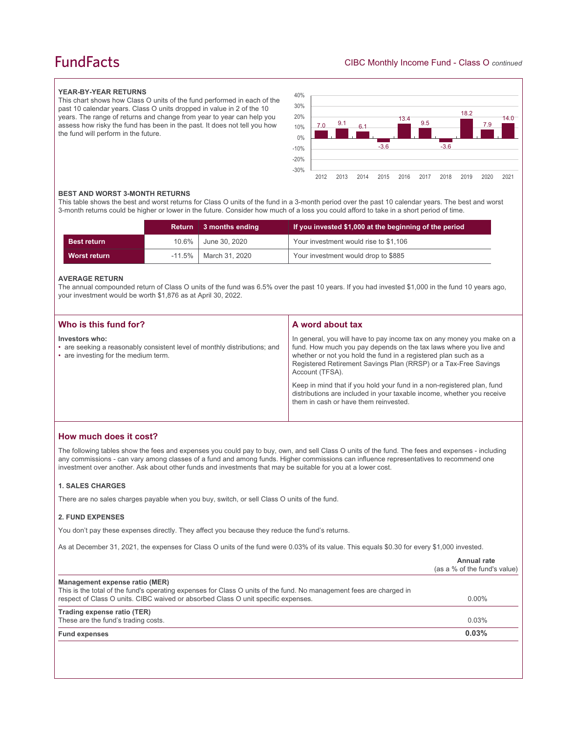## **FundFacts**

#### **YEAR-BY-YEAR RETURNS**

This chart shows how Class O units of the fund performed in each of the past 10 calendar years. Class O units dropped in value in 2 of the 10 years. The range of returns and change from year to year can help you assess how risky the fund has been in the past. It does not tell you how the fund will perform in the future.



#### **BEST AND WORST 3-MONTH RETURNS**

This table shows the best and worst returns for Class O units of the fund in a 3-month period over the past 10 calendar years. The best and worst 3-month returns could be higher or lower in the future. Consider how much of a loss you could afford to take in a short period of time.

|                    | <b>Return</b> | ∣ 3 months ending          | If you invested \$1,000 at the beginning of the period |
|--------------------|---------------|----------------------------|--------------------------------------------------------|
| <b>Best return</b> | $10.6\%$      | June 30, 2020              | Your investment would rise to \$1,106                  |
| Worst return       |               | $-11.5\%$   March 31, 2020 | Your investment would drop to \$885                    |

#### **AVERAGE RETURN**

The annual compounded return of Class O units of the fund was 6.5% over the past 10 years. If you had invested \$1,000 in the fund 10 years ago, your investment would be worth \$1,876 as at April 30, 2022.

| Who is this fund for?                                                                                                               | A word about tax                                                                                                                                                                                                                                                                                     |
|-------------------------------------------------------------------------------------------------------------------------------------|------------------------------------------------------------------------------------------------------------------------------------------------------------------------------------------------------------------------------------------------------------------------------------------------------|
| Investors who:<br>• are seeking a reasonably consistent level of monthly distributions; and<br>• are investing for the medium term. | In general, you will have to pay income tax on any money you make on a<br>fund. How much you pay depends on the tax laws where you live and<br>whether or not you hold the fund in a registered plan such as a<br>Registered Retirement Savings Plan (RRSP) or a Tax-Free Savings<br>Account (TFSA). |
|                                                                                                                                     | Keep in mind that if you hold your fund in a non-registered plan, fund<br>distributions are included in your taxable income, whether you receive<br>them in cash or have them reinvested.                                                                                                            |

## **How much does it cost?**

The following tables show the fees and expenses you could pay to buy, own, and sell Class O units of the fund. The fees and expenses - including any commissions - can vary among classes of a fund and among funds. Higher commissions can influence representatives to recommend one investment over another. Ask about other funds and investments that may be suitable for you at a lower cost.

#### **1. SALES CHARGES**

There are no sales charges payable when you buy, switch, or sell Class O units of the fund.

#### **2. FUND EXPENSES**

You don't pay these expenses directly. They affect you because they reduce the fund's returns.

As at December 31, 2021, the expenses for Class O units of the fund were 0.03% of its value. This equals \$0.30 for every \$1,000 invested.

|                                                                                                                                                                                                                                            | Annual rate<br>(as a % of the fund's value) |
|--------------------------------------------------------------------------------------------------------------------------------------------------------------------------------------------------------------------------------------------|---------------------------------------------|
| Management expense ratio (MER)<br>This is the total of the fund's operating expenses for Class O units of the fund. No management fees are charged in<br>respect of Class O units. CIBC waived or absorbed Class O unit specific expenses. | $0.00\%$                                    |
| Trading expense ratio (TER)<br>These are the fund's trading costs.                                                                                                                                                                         | 0.03%                                       |
| <b>Fund expenses</b>                                                                                                                                                                                                                       | 0.03%                                       |